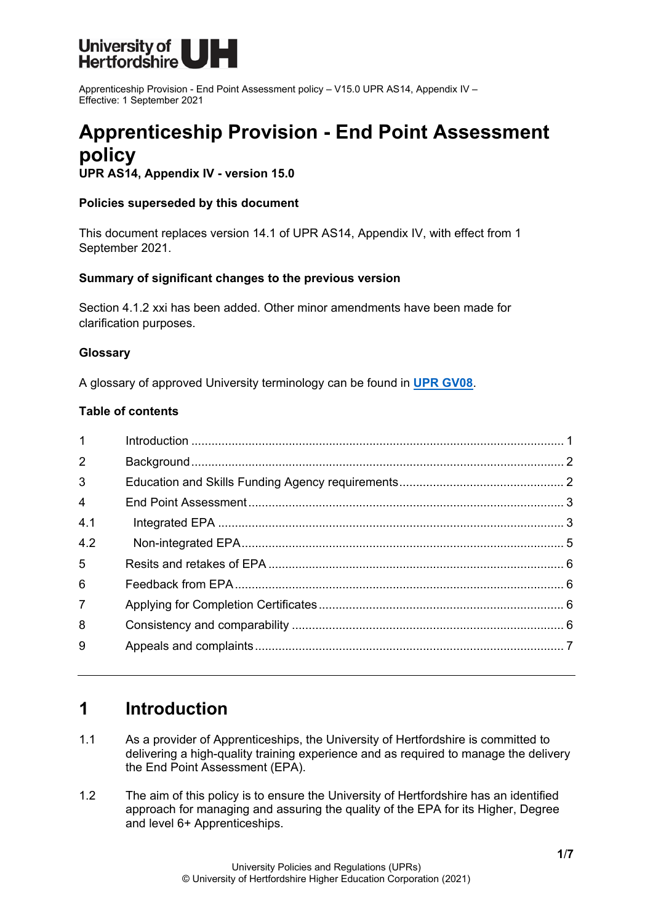

Apprenticeship Provision - End Point Assessment policy – V15.0 UPR AS14, Appendix IV – Effective: 1 September 2021

# **Apprenticeship Provision - End Point Assessment policy**

**UPR AS14, Appendix IV - version 15.0**

#### **Policies superseded by this document**

This document replaces version 14.1 of UPR AS14, Appendix IV, with effect from 1 September 2021.

#### **Summary of significant changes to the previous version**

Section 4.1.2 xxi has been added. Other minor amendments have been made for clarification purposes.

#### **Glossary**

A glossary of approved University terminology can be found in **[UPR GV08](https://www.herts.ac.uk/__data/assets/pdf_file/0020/233057/GV08-Glossary-of-Terminology.pdf)**.

#### **Table of contents**

| $\mathbf{1}$   |  |
|----------------|--|
| $\overline{2}$ |  |
| 3              |  |
| $\overline{4}$ |  |
| 4.1            |  |
| 4.2            |  |
| 5              |  |
| 6              |  |
| $\overline{7}$ |  |
| 8              |  |
| 9              |  |
|                |  |

## <span id="page-0-0"></span>**1 Introduction**

- 1.1 As a provider of Apprenticeships, the University of Hertfordshire is committed to delivering a high-quality training experience and as required to manage the delivery the End Point Assessment (EPA).
- 1.2 The aim of this policy is to ensure the University of Hertfordshire has an identified approach for managing and assuring the quality of the EPA for its Higher, Degree and level 6+ Apprenticeships.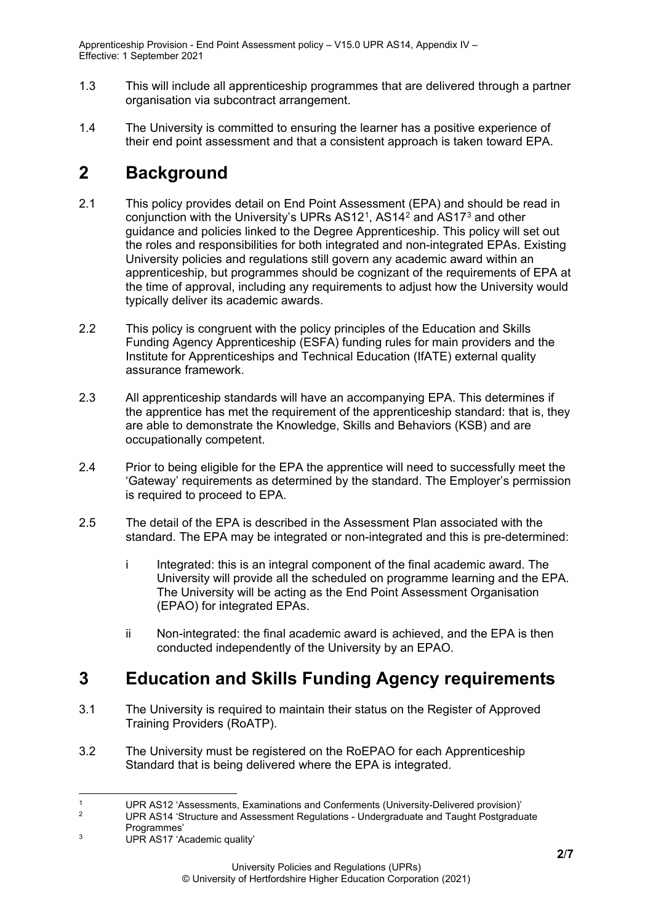Apprenticeship Provision - End Point Assessment policy – V15.0 UPR AS14, Appendix IV – Effective: 1 September 2021

- 1.3 This will include all apprenticeship programmes that are delivered through a partner organisation via subcontract arrangement.
- 1.4 The University is committed to ensuring the learner has a positive experience of their end point assessment and that a consistent approach is taken toward EPA.

# <span id="page-1-0"></span>**2 Background**

- 2.1 This policy provides detail on End Point Assessment (EPA) and should be read in conjunction with the University's UPRs AS1[2](#page-1-3)<sup>1</sup>, AS14<sup>2</sup> and AS17<sup>[3](#page-1-4)</sup> and other guidance and policies linked to the Degree Apprenticeship. This policy will set out the roles and responsibilities for both integrated and non-integrated EPAs. Existing University policies and regulations still govern any academic award within an apprenticeship, but programmes should be cognizant of the requirements of EPA at the time of approval, including any requirements to adjust how the University would typically deliver its academic awards.
- 2.2 This policy is congruent with the policy principles of the Education and Skills Funding Agency Apprenticeship (ESFA) funding rules for main providers and the Institute for Apprenticeships and Technical Education (IfATE) external quality assurance framework.
- 2.3 All apprenticeship standards will have an accompanying EPA. This determines if the apprentice has met the requirement of the apprenticeship standard: that is, they are able to demonstrate the Knowledge, Skills and Behaviors (KSB) and are occupationally competent.
- 2.4 Prior to being eligible for the EPA the apprentice will need to successfully meet the 'Gateway' requirements as determined by the standard. The Employer's permission is required to proceed to EPA.
- 2.5 The detail of the EPA is described in the Assessment Plan associated with the standard. The EPA may be integrated or non-integrated and this is pre-determined:
	- i Integrated: this is an integral component of the final academic award. The University will provide all the scheduled on programme learning and the EPA. The University will be acting as the End Point Assessment Organisation (EPAO) for integrated EPAs.
	- ii Non-integrated: the final academic award is achieved, and the EPA is then conducted independently of the University by an EPAO.

# <span id="page-1-1"></span>**3 Education and Skills Funding Agency requirements**

- 3.1 The University is required to maintain their status on the Register of Approved Training Providers (RoATP).
- 3.2 The University must be registered on the RoEPAO for each Apprenticeship Standard that is being delivered where the EPA is integrated.

<span id="page-1-3"></span><span id="page-1-2"></span><sup>&</sup>lt;sup>1</sup> UPR AS12 'Assessments, Examinations and Conferments (University-Delivered provision)'<br><sup>2</sup> UPR AS14 'Structure and Assessment Dequisions, Undergraduate and Taught Destaradu

<sup>2</sup> UPR AS14 'Structure and Assessment Regulations - Undergraduate and Taught Postgraduate

Programmes'

<span id="page-1-4"></span><sup>3</sup> UPR AS17 'Academic quality'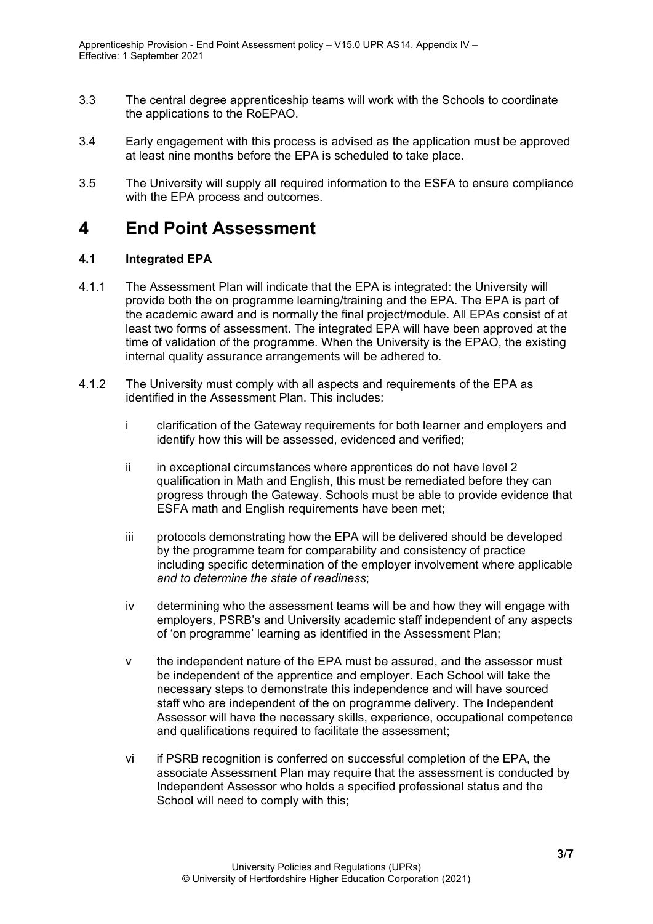- 3.3 The central degree apprenticeship teams will work with the Schools to coordinate the applications to the RoEPAO.
- 3.4 Early engagement with this process is advised as the application must be approved at least nine months before the EPA is scheduled to take place.
- 3.5 The University will supply all required information to the ESFA to ensure compliance with the EPA process and outcomes.

### <span id="page-2-0"></span>**4 End Point Assessment**

#### <span id="page-2-1"></span>**4.1 Integrated EPA**

- 4.1.1 The Assessment Plan will indicate that the EPA is integrated: the University will provide both the on programme learning/training and the EPA. The EPA is part of the academic award and is normally the final project/module. All EPAs consist of at least two forms of assessment. The integrated EPA will have been approved at the time of validation of the programme. When the University is the EPAO, the existing internal quality assurance arrangements will be adhered to.
- 4.1.2 The University must comply with all aspects and requirements of the EPA as identified in the Assessment Plan. This includes:
	- i clarification of the Gateway requirements for both learner and employers and identify how this will be assessed, evidenced and verified;
	- ii in exceptional circumstances where apprentices do not have level 2 qualification in Math and English, this must be remediated before they can progress through the Gateway. Schools must be able to provide evidence that ESFA math and English requirements have been met;
	- iii protocols demonstrating how the EPA will be delivered should be developed by the programme team for comparability and consistency of practice including specific determination of the employer involvement where applicable *and to determine the state of readiness*;
	- iv determining who the assessment teams will be and how they will engage with employers, PSRB's and University academic staff independent of any aspects of 'on programme' learning as identified in the Assessment Plan;
	- v the independent nature of the EPA must be assured, and the assessor must be independent of the apprentice and employer. Each School will take the necessary steps to demonstrate this independence and will have sourced staff who are independent of the on programme delivery. The Independent Assessor will have the necessary skills, experience, occupational competence and qualifications required to facilitate the assessment;
	- vi if PSRB recognition is conferred on successful completion of the EPA, the associate Assessment Plan may require that the assessment is conducted by Independent Assessor who holds a specified professional status and the School will need to comply with this;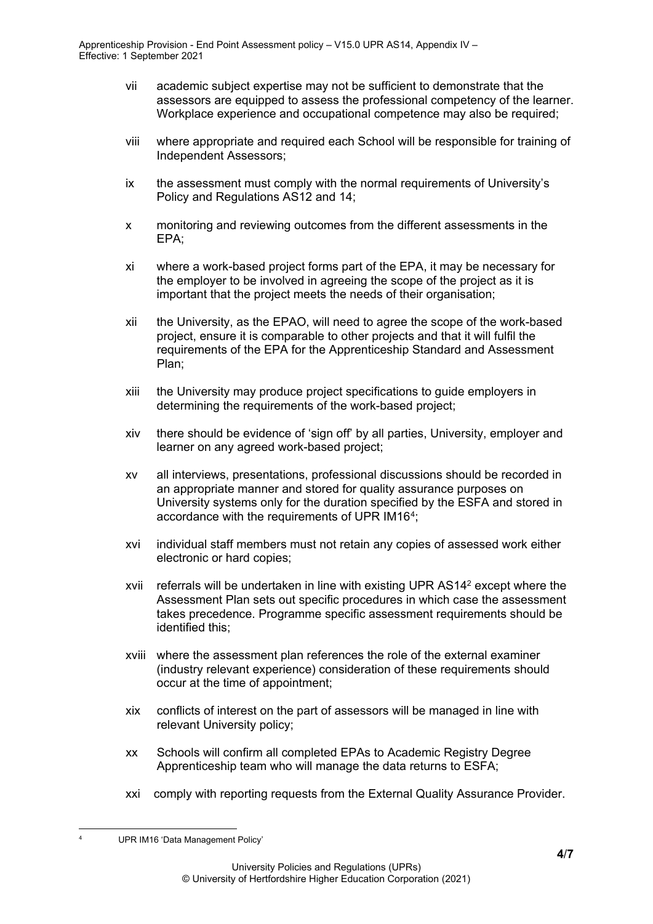- vii academic subject expertise may not be sufficient to demonstrate that the assessors are equipped to assess the professional competency of the learner. Workplace experience and occupational competence may also be required;
- viii where appropriate and required each School will be responsible for training of Independent Assessors;
- ix the assessment must comply with the normal requirements of University's Policy and Regulations AS12 and 14;
- x monitoring and reviewing outcomes from the different assessments in the EPA;
- xi where a work-based project forms part of the EPA, it may be necessary for the employer to be involved in agreeing the scope of the project as it is important that the project meets the needs of their organisation;
- xii the University, as the EPAO, will need to agree the scope of the work-based project, ensure it is comparable to other projects and that it will fulfil the requirements of the EPA for the Apprenticeship Standard and Assessment Plan;
- xiii the University may produce project specifications to guide employers in determining the requirements of the work-based project;
- xiv there should be evidence of 'sign off' by all parties, University, employer and learner on any agreed work-based project;
- xv all interviews, presentations, professional discussions should be recorded in an appropriate manner and stored for quality assurance purposes on University systems only for the duration specified by the ESFA and stored in accordance with the requirements of UPR IM16<sup>[4](#page-3-0)</sup>;
- xvi individual staff members must not retain any copies of assessed work either electronic or hard copies;
- xvii referrals will be undertaken in line with existing UPR AS142 except where the Assessment Plan sets out specific procedures in which case the assessment takes precedence. Programme specific assessment requirements should be identified this;
- xviii where the assessment plan references the role of the external examiner (industry relevant experience) consideration of these requirements should occur at the time of appointment;
- xix conflicts of interest on the part of assessors will be managed in line with relevant University policy;
- xx Schools will confirm all completed EPAs to Academic Registry Degree Apprenticeship team who will manage the data returns to ESFA;
- xxi comply with reporting requests from the External Quality Assurance Provider.

<span id="page-3-0"></span>UPR IM16 'Data Management Policy'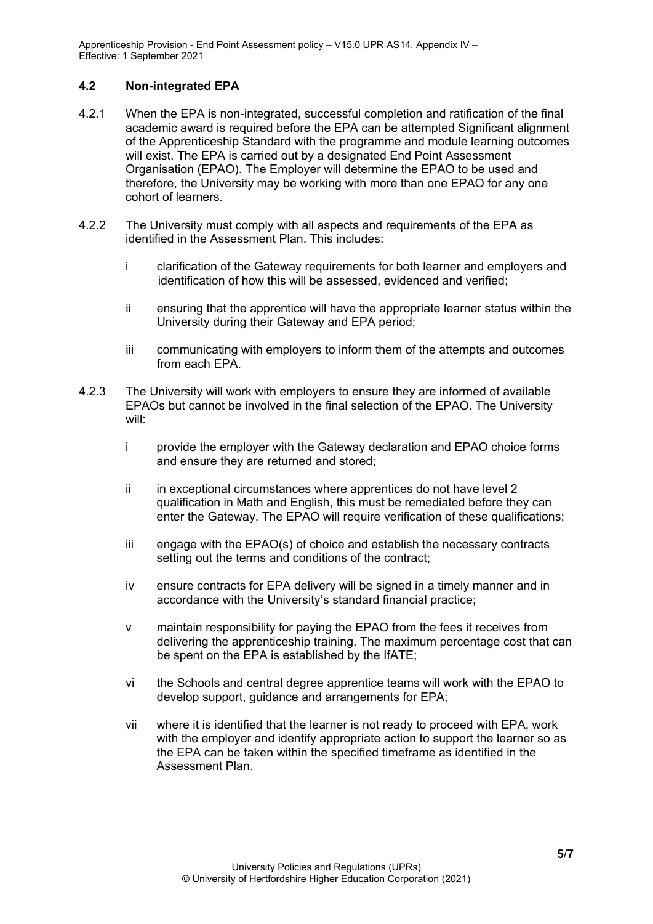Apprenticeship Provision - End Point Assessment policy – V15.0 UPR AS14, Appendix IV – Effective: 1 September 2021

#### <span id="page-4-0"></span>**4.2 Non-integrated EPA**

- 4.2.1 When the EPA is non-integrated, successful completion and ratification of the final academic award is required before the EPA can be attempted Significant alignment of the Apprenticeship Standard with the programme and module learning outcomes will exist. The EPA is carried out by a designated End Point Assessment Organisation (EPAO). The Employer will determine the EPAO to be used and therefore, the University may be working with more than one EPAO for any one cohort of learners.
- 4.2.2 The University must comply with all aspects and requirements of the EPA as identified in the Assessment Plan. This includes:
	- i clarification of the Gateway requirements for both learner and employers and identification of how this will be assessed, evidenced and verified;
	- ii ensuring that the apprentice will have the appropriate learner status within the University during their Gateway and EPA period;
	- iii communicating with employers to inform them of the attempts and outcomes from each EPA.
- 4.2.3 The University will work with employers to ensure they are informed of available EPAOs but cannot be involved in the final selection of the EPAO. The University will:
	- i provide the employer with the Gateway declaration and EPAO choice forms and ensure they are returned and stored;
	- ii in exceptional circumstances where apprentices do not have level 2 qualification in Math and English, this must be remediated before they can enter the Gateway. The EPAO will require verification of these qualifications;
	- iii engage with the EPAO(s) of choice and establish the necessary contracts setting out the terms and conditions of the contract;
	- iv ensure contracts for EPA delivery will be signed in a timely manner and in accordance with the University's standard financial practice;
	- v maintain responsibility for paying the EPAO from the fees it receives from delivering the apprenticeship training. The maximum percentage cost that can be spent on the EPA is established by the IfATE;
	- vi the Schools and central degree apprentice teams will work with the EPAO to develop support, guidance and arrangements for EPA;
	- vii where it is identified that the learner is not ready to proceed with EPA, work with the employer and identify appropriate action to support the learner so as the EPA can be taken within the specified timeframe as identified in the Assessment Plan.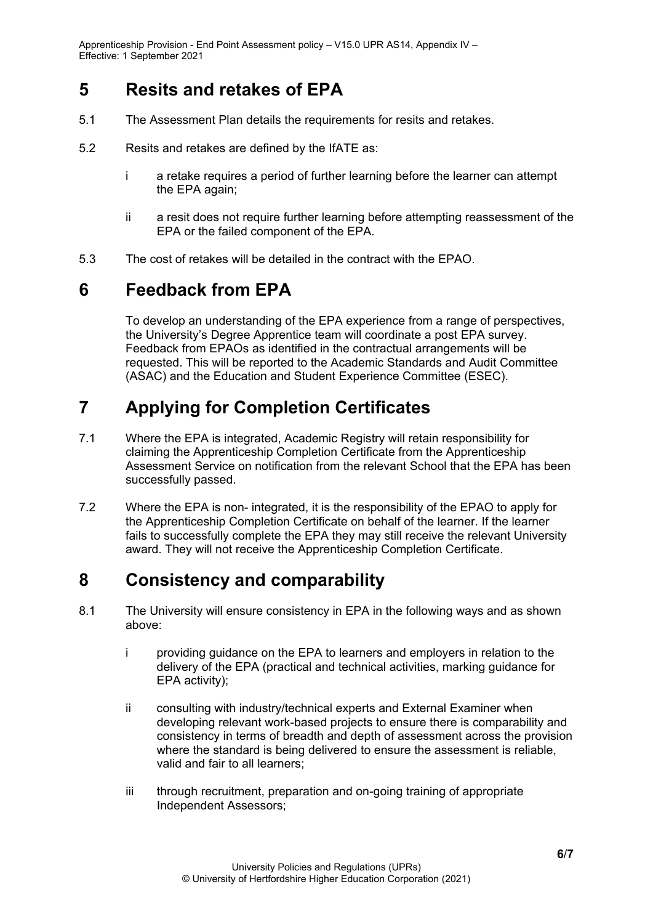## <span id="page-5-0"></span>**5 Resits and retakes of EPA**

- 5.1 The Assessment Plan details the requirements for resits and retakes.
- 5.2 Resits and retakes are defined by the IfATE as:
	- i a retake requires a period of further learning before the learner can attempt the EPA again;
	- ii a resit does not require further learning before attempting reassessment of the EPA or the failed component of the EPA.
- 5.3 The cost of retakes will be detailed in the contract with the EPAO.

# <span id="page-5-1"></span>**6 Feedback from EPA**

To develop an understanding of the EPA experience from a range of perspectives, the University's Degree Apprentice team will coordinate a post EPA survey. Feedback from EPAOs as identified in the contractual arrangements will be requested. This will be reported to the Academic Standards and Audit Committee (ASAC) and the Education and Student Experience Committee (ESEC).

# <span id="page-5-2"></span>**7 Applying for Completion Certificates**

- 7.1 Where the EPA is integrated, Academic Registry will retain responsibility for claiming the Apprenticeship Completion Certificate from the Apprenticeship Assessment Service on notification from the relevant School that the EPA has been successfully passed.
- 7.2 Where the EPA is non- integrated, it is the responsibility of the EPAO to apply for the Apprenticeship Completion Certificate on behalf of the learner. If the learner fails to successfully complete the EPA they may still receive the relevant University award. They will not receive the Apprenticeship Completion Certificate.

# <span id="page-5-3"></span>**8 Consistency and comparability**

- 8.1 The University will ensure consistency in EPA in the following ways and as shown above:
	- i providing guidance on the EPA to learners and employers in relation to the delivery of the EPA (practical and technical activities, marking guidance for EPA activity);
	- ii consulting with industry/technical experts and External Examiner when developing relevant work-based projects to ensure there is comparability and consistency in terms of breadth and depth of assessment across the provision where the standard is being delivered to ensure the assessment is reliable, valid and fair to all learners;
	- iii through recruitment, preparation and on-going training of appropriate Independent Assessors;